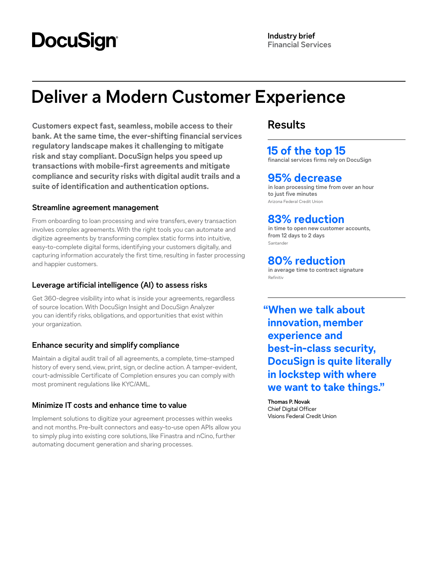# **DocuSign**

# **Deliver a Modern Customer Experience**

**Customers expect fast, seamless, mobile access to their bank. At the same time, the ever-shifting financial services regulatory landscape makes it challenging to mitigate risk and stay compliant. DocuSign helps you speed up transactions with mobile-first agreements and mitigate compliance and security risks with digital audit trails and a suite of identification and authentication options.**

### **Streamline agreement management**

From onboarding to loan processing and wire transfers, every transaction involves complex agreements. With the right tools you can automate and digitize agreements by transforming complex static forms into intuitive, easy-to-complete digital forms, identifying your customers digitally, and capturing information accurately the first time, resulting in faster processing and happier customers.

## **Leverage artificial intelligence (AI) to assess risks**

Get 360-degree visibility into what is inside your agreements, regardless of source location. With DocuSign Insight and DocuSign Analyzer you can identify risks, obligations, and opportunities that exist within your organization.

## **Enhance security and simplify compliance**

Maintain a digital audit trail of all agreements, a complete, time-stamped history of every send, view, print, sign, or decline action. A tamper-evident, court-admissible Certificate of Completion ensures you can comply with most prominent regulations like KYC/AML.

## **Minimize IT costs and enhance time to value**

Implement solutions to digitize your agreement processes within weeks and not months. Pre-built connectors and easy-to-use open APIs allow you to simply plug into existing core solutions, like Finastra and nCino, further automating document generation and sharing processes.

# **Results**

# **15 of the top 15**

**financial services firms rely on DocuSign**

# **95% decrease**

**in loan processing time from over an hour to just five minutes** Arizona Federal Credit Union

# **83% reduction**

**in time to open new customer accounts, from 12 days to 2 days** Santander

# **80% reduction**

**in average time to contract signature** Refinitiv

**"When we talk about innovation, member experience and best-in-class security, DocuSign is quite literally in lockstep with where we want to take things."**

**Thomas P. Novak** Chief Digital Officer Visions Federal Credit Union